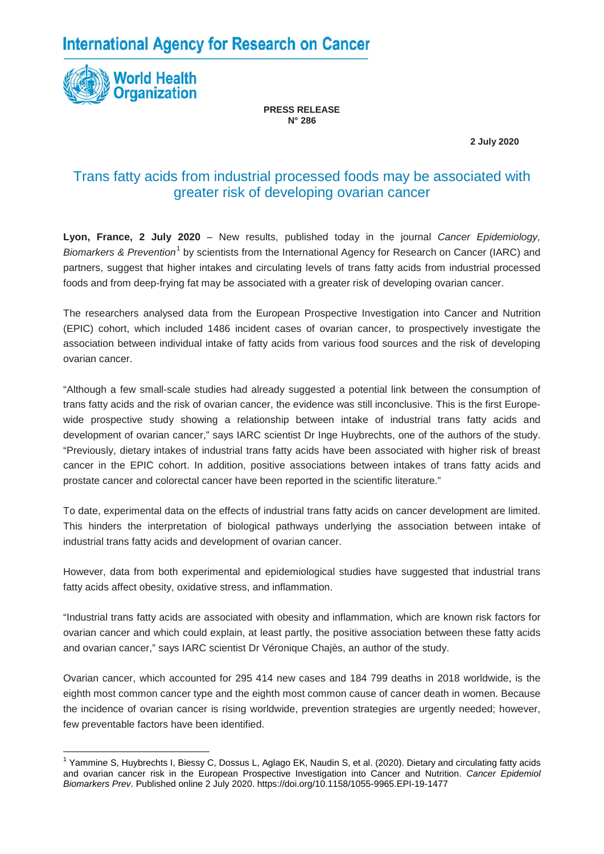**International Agency for Research on Cancer** 



**PRESS RELEASE N° 286**

 **2 July 2020**

## Trans fatty acids from industrial processed foods may be associated with greater risk of developing ovarian cancer

**Lyon, France, 2 July 2020** – New results, published today in the journal *Cancer Epidemiology, Biomarkers & Prevention*[1](#page-0-0) by scientists from the International Agency for Research on Cancer (IARC) and partners, suggest that higher intakes and circulating levels of trans fatty acids from industrial processed foods and from deep-frying fat may be associated with a greater risk of developing ovarian cancer.

The researchers analysed data from the European Prospective Investigation into Cancer and Nutrition (EPIC) cohort, which included 1486 incident cases of ovarian cancer, to prospectively investigate the association between individual intake of fatty acids from various food sources and the risk of developing ovarian cancer.

"Although a few small-scale studies had already suggested a potential link between the consumption of trans fatty acids and the risk of ovarian cancer, the evidence was still inconclusive. This is the first Europewide prospective study showing a relationship between intake of industrial trans fatty acids and development of ovarian cancer," says IARC scientist Dr Inge Huybrechts, one of the authors of the study. "Previously, dietary intakes of industrial trans fatty acids have been associated with higher risk of breast cancer in the EPIC cohort. In addition, positive associations between intakes of trans fatty acids and prostate cancer and colorectal cancer have been reported in the scientific literature."

To date, experimental data on the effects of industrial trans fatty acids on cancer development are limited. This hinders the interpretation of biological pathways underlying the association between intake of industrial trans fatty acids and development of ovarian cancer.

However, data from both experimental and epidemiological studies have suggested that industrial trans fatty acids affect obesity, oxidative stress, and inflammation.

"Industrial trans fatty acids are associated with obesity and inflammation, which are known risk factors for ovarian cancer and which could explain, at least partly, the positive association between these fatty acids and ovarian cancer," says IARC scientist Dr Véronique Chajès, an author of the study.

Ovarian cancer, which accounted for 295 414 new cases and 184 799 deaths in 2018 worldwide, is the eighth most common cancer type and the eighth most common cause of cancer death in women. Because the incidence of ovarian cancer is rising worldwide, prevention strategies are urgently needed; however, few preventable factors have been identified.

<span id="page-0-0"></span><sup>1</sup> Yammine S, Huybrechts I, Biessy C, Dossus L, Aglago EK, Naudin S, et al. (2020). Dietary and circulating fatty acids and ovarian cancer risk in the European Prospective Investigation into Cancer and Nutrition. *Cancer Epidemiol Biomarkers Prev*. Published online 2 July 2020. https://doi.org/10.1158/1055-9965.EPI-19-1477